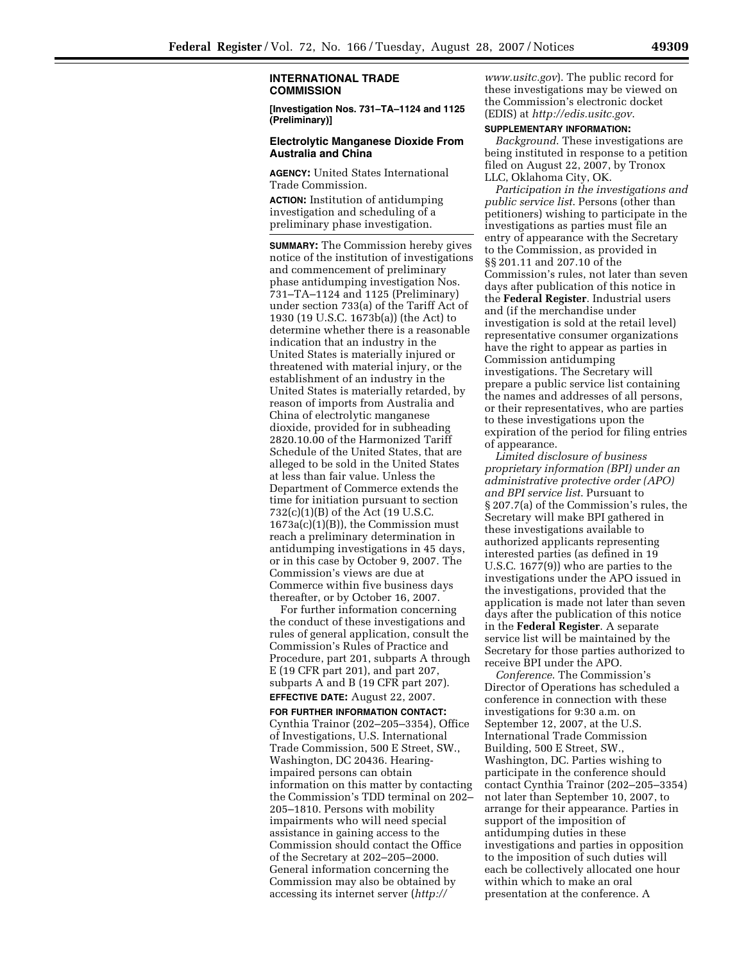## **INTERNATIONAL TRADE COMMISSION**

**[Investigation Nos. 731–TA–1124 and 1125 (Preliminary)]** 

## **Electrolytic Manganese Dioxide From Australia and China**

**AGENCY:** United States International Trade Commission.

**ACTION:** Institution of antidumping investigation and scheduling of a preliminary phase investigation.

**SUMMARY:** The Commission hereby gives notice of the institution of investigations and commencement of preliminary phase antidumping investigation Nos. 731–TA–1124 and 1125 (Preliminary) under section 733(a) of the Tariff Act of 1930 (19 U.S.C. 1673b(a)) (the Act) to determine whether there is a reasonable indication that an industry in the United States is materially injured or threatened with material injury, or the establishment of an industry in the United States is materially retarded, by reason of imports from Australia and China of electrolytic manganese dioxide, provided for in subheading 2820.10.00 of the Harmonized Tariff Schedule of the United States, that are alleged to be sold in the United States at less than fair value. Unless the Department of Commerce extends the time for initiation pursuant to section 732(c)(1)(B) of the Act (19 U.S.C. 1673a(c)(1)(B)), the Commission must reach a preliminary determination in antidumping investigations in 45 days, or in this case by October 9, 2007. The Commission's views are due at Commerce within five business days thereafter, or by October 16, 2007.

For further information concerning the conduct of these investigations and rules of general application, consult the Commission's Rules of Practice and Procedure, part 201, subparts A through E (19 CFR part 201), and part 207, subparts A and B (19 CFR part 207). **EFFECTIVE DATE:** August 22, 2007.

**FOR FURTHER INFORMATION CONTACT:**  Cynthia Trainor (202–205–3354), Office of Investigations, U.S. International Trade Commission, 500 E Street, SW., Washington, DC 20436. Hearingimpaired persons can obtain information on this matter by contacting the Commission's TDD terminal on 202– 205–1810. Persons with mobility impairments who will need special assistance in gaining access to the Commission should contact the Office of the Secretary at 202–205–2000. General information concerning the Commission may also be obtained by accessing its internet server (*http://* 

*www.usitc.gov*). The public record for these investigations may be viewed on the Commission's electronic docket (EDIS) at *http://edis.usitc.gov*.

## **SUPPLEMENTARY INFORMATION:**

*Background*. These investigations are being instituted in response to a petition filed on August 22, 2007, by Tronox LLC, Oklahoma City, OK.

*Participation in the investigations and public service list*. Persons (other than petitioners) wishing to participate in the investigations as parties must file an entry of appearance with the Secretary to the Commission, as provided in §§ 201.11 and 207.10 of the Commission's rules, not later than seven days after publication of this notice in the **Federal Register**. Industrial users and (if the merchandise under investigation is sold at the retail level) representative consumer organizations have the right to appear as parties in Commission antidumping investigations. The Secretary will prepare a public service list containing the names and addresses of all persons, or their representatives, who are parties to these investigations upon the expiration of the period for filing entries of appearance.

*Limited disclosure of business proprietary information (BPI) under an administrative protective order (APO) and BPI service list*. Pursuant to § 207.7(a) of the Commission's rules, the Secretary will make BPI gathered in these investigations available to authorized applicants representing interested parties (as defined in 19 U.S.C. 1677(9)) who are parties to the investigations under the APO issued in the investigations, provided that the application is made not later than seven days after the publication of this notice in the **Federal Register**. A separate service list will be maintained by the Secretary for those parties authorized to receive BPI under the APO.

*Conference*. The Commission's Director of Operations has scheduled a conference in connection with these investigations for 9:30 a.m. on September 12, 2007, at the U.S. International Trade Commission Building, 500 E Street, SW., Washington, DC. Parties wishing to participate in the conference should contact Cynthia Trainor (202–205–3354) not later than September 10, 2007, to arrange for their appearance. Parties in support of the imposition of antidumping duties in these investigations and parties in opposition to the imposition of such duties will each be collectively allocated one hour within which to make an oral presentation at the conference. A